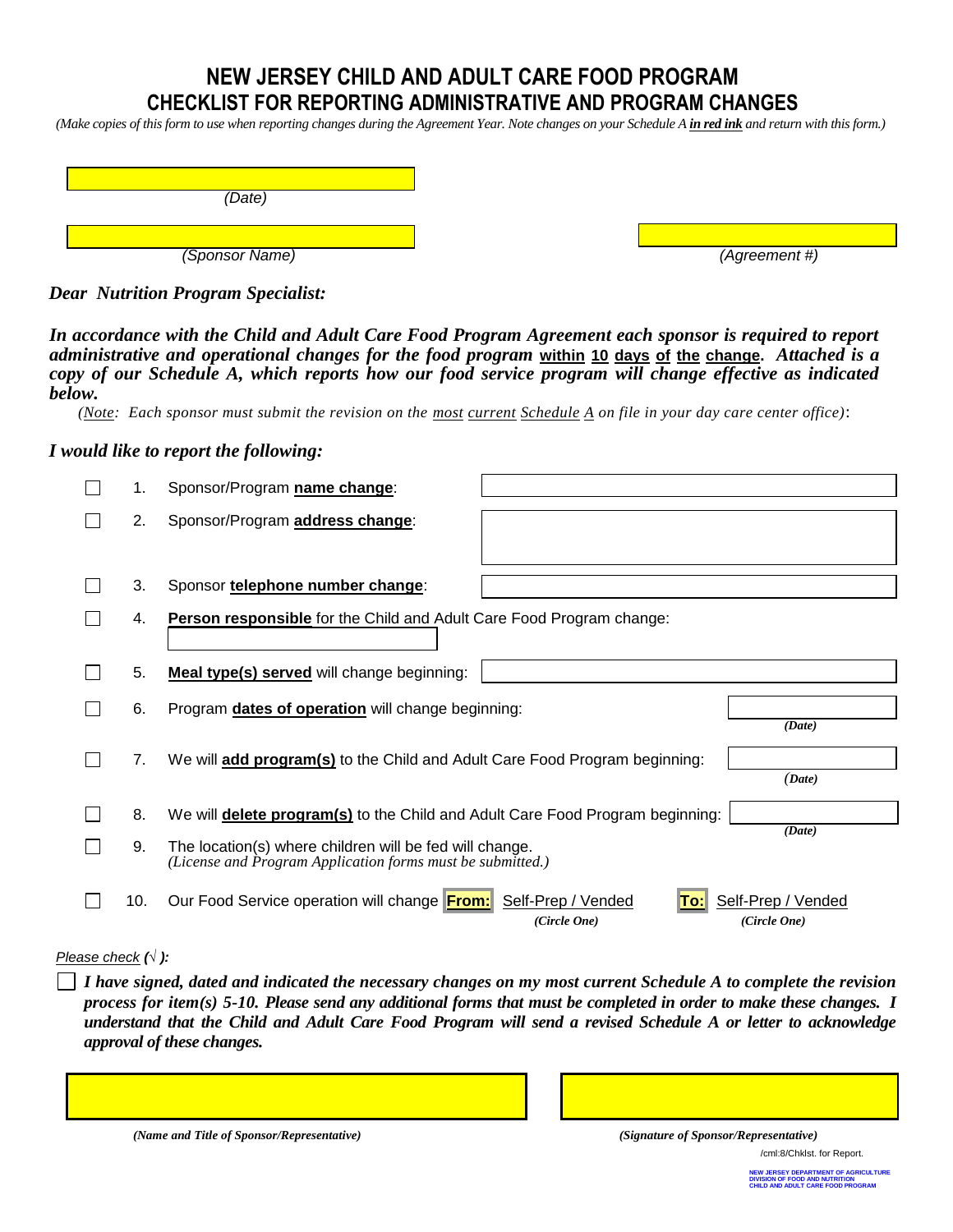### **NEW JERSEY CHILD AND ADULT CARE FOOD PROGRAM CHECKLIST FOR REPORTING ADMINISTRATIVE AND PROGRAM CHANGES**

*(Make copies of this form to use when reporting changes during the Agreement Year. Note changes on your Schedule A in red ink and return with this form.)*

| (Date)         |  |
|----------------|--|
|                |  |
| (Sponsor Name) |  |

*(Agreement #)* 

*Dear Nutrition Program Specialist:*

*In accordance with the Child and Adult Care Food Program Agreement each sponsor is required to report administrative and operational changes for the food program* **within 10 days of the change.** *Attached is a copy of our Schedule A, which reports how our food service program will change effective as indicated below.* 

*(Note: Each sponsor must submit the revision on the most current Schedule A on file in your day care center office)*:

#### *I would like to report the following:*

| 1.  | Sponsor/Program name change:                                                                                                     |
|-----|----------------------------------------------------------------------------------------------------------------------------------|
| 2.  | Sponsor/Program address change:                                                                                                  |
|     |                                                                                                                                  |
| 3.  | Sponsor telephone number change:                                                                                                 |
| 4.  | Person responsible for the Child and Adult Care Food Program change:                                                             |
| 5.  | Meal type(s) served will change beginning:                                                                                       |
| 6.  | Program dates of operation will change beginning:<br>(Date)                                                                      |
| 7.  | We will add program(s) to the Child and Adult Care Food Program beginning:<br>(Date)                                             |
| 8.  | We will <b>delete program(s)</b> to the Child and Adult Care Food Program beginning:                                             |
| 9.  | (Date)<br>The location(s) where children will be fed will change.<br>(License and Program Application forms must be submitted.)  |
| 10. | Our Food Service operation will change From:<br>Self-Prep / Vended<br>Self-Prep / Vended<br>10:I<br>(Circle One)<br>(Circle One) |

#### *Please check (√ ):*

*I have signed, dated and indicated the necessary changes on my most current Schedule A to complete the revision process for item(s) 5-10. Please send any additional forms that must be completed in order to make these changes. I understand that the Child and Adult Care Food Program will send a revised Schedule A or letter to acknowledge approval of these changes.* 

*(Name and Title of Sponsor/Representative) (Signature of Sponsor/Representative)*

/cml:8/Chklst. for Report.

**NEW JERSEY DEPARTMENT OF AGRICULTURE DIVISION OF FOOD AND NUTRITION DN**<br>DOGRAM